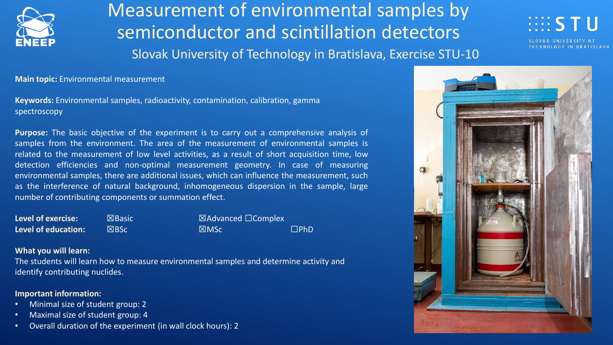

Measurement of environmental samples by semiconductor and scintillation detectors Slovak University of Technology in Bratislava, Exercise STU-10

 $\mathbb{H}$  is the  $\mathbb{I}$ 

**Main topic:** Environmental measurement

**Keywords:** Environmental samples, radioactivity, contamination, calibration, gamma spectroscopy

**Purpose:** The basic objective of the experiment is to carry out a comprehensive analysis of samples from the environment. The area of the measurement of environmental samples is related to the measurement of low level activities, as a result of short acquisition time, low detection efficiencies and non-optimal measurement geometry. In case of measuring environmental samples, there are additional issues, which can influence the measurement, such as the interference of natural background, inhomogeneous dispersion in the sample, large number of contributing components or summation effect.

**Level of exercise: <u><b>**</u> ⊠Basic **value ∴** ⊠Advanced □Complex **Level of education:** ☒BSc ☒MSc ☐PhD

### **What you will learn:**

The students will learn how to measure environmental samples and determine activity and identify contributing nuclides.

### **Important information:**

- Minimal size of student group: 2
- Maximal size of student group: 4
- Overall duration of the experiment (in wall clock hours): 2